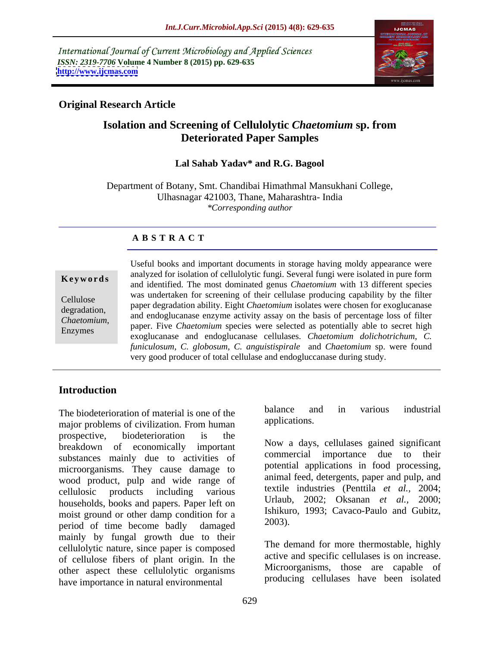International Journal of Current Microbiology and Applied Sciences *ISSN: 2319-7706* **Volume 4 Number 8 (2015) pp. 629-635 <http://www.ijcmas.com>**



## **Original Research Article**

# **Isolation and Screening of Cellulolytic** *Chaetomium* **sp. from Deteriorated Paper Samples Lal Sahab Yadav\* and R.G. Bagool**

Department of Botany, Smt. Chandibai Himathmal Mansukhani College, Ulhasnagar 421003, Thane, Maharashtra- India *\*Corresponding author*

### **A B S T R A C T**

*Chaetomium*, Enzymes

Useful books and important documents in storage having moldy appearance were analyzed for isolation of cellulolytic fungi. Several fungi were isolated in pure form and identified. The most dominated genus *Chaetomium* with 13 different species **Ke ywo rds** was undertaken for screening of their cellulase producing capability by the filter Cellulose was undertaken for screening or their central epoddeling capability by the finer<br>dogradation paper degradation ability. Eight *Chaetomium* isolates were chosen for exoglucanase degradation,<br>and endoglucanase enzyme activity assay on the basis of percentage loss of filter paper. Five *Chaetomium* species were selected as potentially able to secret high exoglucanase and endoglucanase cellulases. *Chaetomium dolichotrichum*, *C. funiculosum*, *C. globosum*, *C. anguistispirale* and *Chaetomium* sp. were found very good producer of total cellulase and endogluccanase during study.

## **Introduction**

major problems of civilization. From human applications. prospective, biodeterioration is the method of the state of the state of the state of the state of the state of the state of the state of the state of the state of the state of the state of the state of the state of the st breakdown of economically important now a days, centually stated significant<br>commercial importance due to their substances mainly due to activities of microorganisms. They cause damage to wood product, pulp and wide range of cellulosic products including various  $\frac{1}{2}$  textue industries (Pentula *et al.*, 2004; households, books and papers. Paper left on Urlaub, 2002; Oksanan et al., 2000;<br>moist ground or other damn condition for a Ishikuro, 1993; Cavaco-Paulo and Gubitz, moist ground or other damp condition for a<br>noried of time because hedly democed and  $\frac{1}{2003}$ . period of time become badly damaged mainly by fungal growth due to their cellulolytic nature, since paper is composed of cellulose fibers of plant origin. In the other aspect these cellulolytic organisms have importance in natural environmental

The biodeterioration of material is one of the balance and in various industrial<br>major problems of civilization From human applications. balance and in various industrial applications.

> Now a days, cellulases gained significant commercial importance due to their potential applications in food processing, animal feed, detergents, paper and pulp, and textile industries (Penttila *et al.,* 2004; Urlaub, 2002; Oksanan *et al.,* 2000; Ishikuro, 1993; Cavaco-Paulo and Gubitz, 2003).

The demand for more thermostable, highly active and specific cellulases is on increase. Microorganisms, those are capable of producing cellulases have been isolated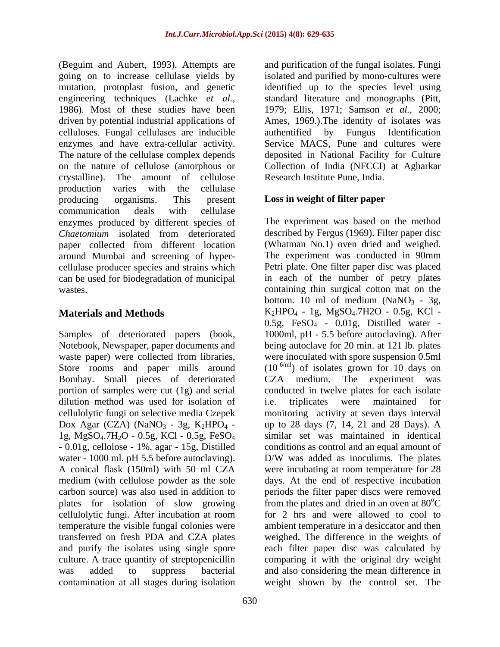(Beguim and Aubert, 1993). Attempts are going on to increase cellulase yields by isolated and purified by mono-cultures were mutation, protoplast fusion, and genetic engineering techniques (Lachke *et al.,* standard literature and monographs (Pitt, 1986). Most of these studies have been 1979; Ellis, 1971; Samson *et al.,* 2000; driven by potential industrial applications of celluloses. Fungal cellulases are inducible enzymes and have extra-cellular activity. The nature of the cellulase complex depends deposited in National Facility for Culture on the nature of cellulose (amorphous or Collection of India (NFCCI) at Agharkar crystalline). The amount of cellulose production varies with the cellulase producing organisms. This present **Loss in weight of filter paper** communication deals with cellulase enzymes produced by different species of *Chaetomium* isolated from deteriorated around Mumbai and screening of hyper cellulase producer species and strains which can be used for biodegradation of municipal

Bombay. Small pieces of deteriorated CZA medium. The experiment was dilution method was used for isolation of i.e. triplicates were maintained for 1g, MgSO4.7H2O - 0.5g, KCl - 0.5g, FeSO4 cellulolytic fungi. After incubation at room temperature the visible fungal colonies were contamination at all stages during isolation weight shown by the control set. The

and purification of the fungal isolates. Fungi identified up to the species level using Ames, 1969.).The identity of isolates was authentified by Fungus Identification Service MACS, Pune and cultures were Research Institute Pune, India.

paper collected from different location (Whatman No.1) oven dried and weighed. wastes. containing thin surgical cotton mat on the **Materials and Methods**  $K_2HPO_4 - 1g$ , MgSO<sub>4</sub>.7H2O - 0.5g, KCl -Samples of deteriorated papers (book, 1000ml, pH - 5.5 before autoclaving). After Notebook, Newspaper, paper documents and being autoclave for 20 min. at 121 lb. plates waste paper) were collected from libraries, were inoculated with spore suspension 0.5ml Store rooms and paper mills around  $(10^{-6/ml})$  of isolates grown for 10 days on portion of samples were cut (1g) and serial conducted in twelve plates for each isolate cellulolytic fungi on selective media Czepek monitoring activity at seven days interval Dox Agar (CZA) (NaNO<sub>3</sub> - 3g, K<sub>2</sub>HPO<sub>4</sub> - up to 28 days (7, 14, 21 and 28 Days). A - 0.01g, cellolose - 1%, agar - 15g, Distilled conditions as control and an equal amount of water - 1000 ml. pH 5.5 before autoclaving). D/W was added as inoculums. The plates A conical flask (150ml) with 50 ml CZA were incubating at room temperature for 28 medium (with cellulose powder as the sole days. At the end of respective incubation carbon source) was also used in addition to periods the filter paper discs were removed plates for isolation of slow growing from the plates and dried in an oven at  $80^{\circ}$ C transferred on fresh PDA and CZA plates weighed. The difference in the weights of and purify the isolates using single spore each filter paper disc was calculated by culture. A trace quantity of streptopenicillin comparing it with the original dry weight was added to suppress bacterial and also considering the mean difference in The experiment was based on the method described by Fergus (1969). Filter paper disc The experiment was conducted in 90mm Petri plate. One filter paper disc was placed in each of the number of petry plates bottom. 10 ml of medium  $(NaNO<sub>3</sub> - 3g)$ , 0.5g, FeSO4 - 0.01g, Distilled water - CZA medium. The experiment was i.e. triplicates were maintained for similar set was maintained in identical for 2 hrs and were allowed to cool to ambient temperature in a desiccator and then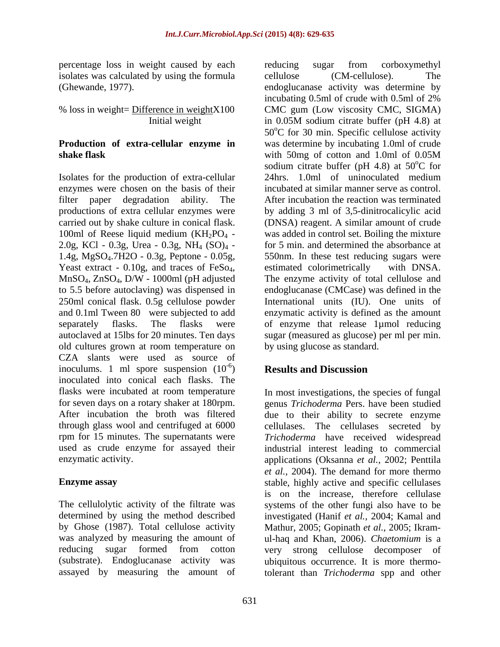percentage loss in weight caused by each isolates was calculated by using the formula electrologic control (CM-cellulose). The

### **Production of extra-cellular enzyme in shake flask** with 50mg of cotton and 1.0ml of 0.05M

Isolates for the production of extra-cellular enzymes were chosen on the basis of their 2.0g, KCl - 0.3g, Urea - 0.3g, NH<sub>4</sub> (SO)<sub>4</sub> - 1.4g, MgSO<sub>4</sub>.7H2O - 0.3g, Peptone - 0.05g, old cultures grown at room temperature on CZA slants were used as source of inoculums. 1 ml spore suspension  $(10^{-6})$ inoculated into conical each flasks. The

assayed by measuring the amount of

(Ghewande, 1977). endoglucanase activity was determine by % loss in weight= Difference in weightX100 CMC gum (Low viscosity CMC, SIGMA) Initial weight in 0.05M sodium citrate buffer (pH 4.8) at filter paper degradation ability. The After incubation the reaction was terminated productions of extra cellular enzymes were by adding 3 ml of 3,5-dinitrocalicylic acid carried out by shake culture in conical flask. (DNSA) reagent. A similar amount of crude 100ml of Reese liquid medium  $(KH_2PO_4 -$  was added in control set. Boiling the mixture 1.4g, MgSO<sub>4</sub>.7H2O - 0.3g, Peptone - 0.05g, 550nm. In these test reducing sugars were Yeast extract - 0.10g, and traces of FeSo<sub>4</sub>, estimated colorimetrically with DNSA.<br>MnSO<sub>4</sub>, ZnSO<sub>4</sub>, D/W - 1000ml (pH adjusted The enzyme activity of total cellulose and to 5.5 before autoclaving) was dispensed in endoglucanase (CMCase) was defined in the 250ml conical flask. 0.5g cellulose powder International units (IU). One units of and 0.1ml Tween 80 were subjected to add enzymatic activity is defined as the amount separately flasks. The flasks were of enzyme that release 1µmol reducing autoclaved at 15lbs for 20 minutes. Ten days sugar (measured as glucose) per ml per min. reducing sugar from corboxymethyl cellulose (CM-cellulose). The incubating 0.5ml of crude with 0.5ml of 2%  $50^{\circ}$ C for 30 min. Specific cellulose activity was determine by incubating 1.0ml of crude with 50mg of cotton and 1.0ml of 0.05M sodium citrate buffer (pH 4.8) at  $50^{\circ}$ C for oC for 24hrs. 1.0ml of uninoculated medium incubated at similar manner serve as control. for 5 min. and determined the absorbance at estimated colorimetrically with DNSA. The enzyme activity of total cellulose and by using glucose as standard.

### $\mathbf{D}_{\text{scall}}$  and  $\mathbf{D}_{\text{scall}}$ **Results and Discussion Results and Discussion**

flasks were incubated at room temperature In most investigations, the species of fungal for seven days on a rotary shaker at 180rpm. genus *Trichoderma* Pers. have been studied After incubation the broth was filtered due to their ability to secrete enzyme through glass wool and centrifuged at 6000 cellulases. The cellulases secreted by rpm for 15 minutes. The supernatants were *Trichoderma* have received widespread used as crude enzyme for assayed their industrial interest leading to commercial enzymatic activity. applications (Oksanna *et al.,* 2002; Penttila **Enzyme assay** stable, highly active and specific cellulases The cellulolytic activity of the filtrate was systems of the other fungi also have to be determined by using the method described investigated (Hanif *et al.,* 2004; Kamal and by Ghose (1987). Total cellulose activity Mathur, 2005; Gopinath *et al.,* 2005; Ikram was analyzed by measuring the amount of ul-haq and Khan, 2006). *Chaetomium* is a reducing sugar formed from cotton very strong cellulose decomposer of (substrate). Endoglucanase activity was ubiquitous occurrence. It is more thermo*et al.,* 2004). The demand for more thermo is on the increase, therefore cellulase tolerant than *Trichoderma* spp and other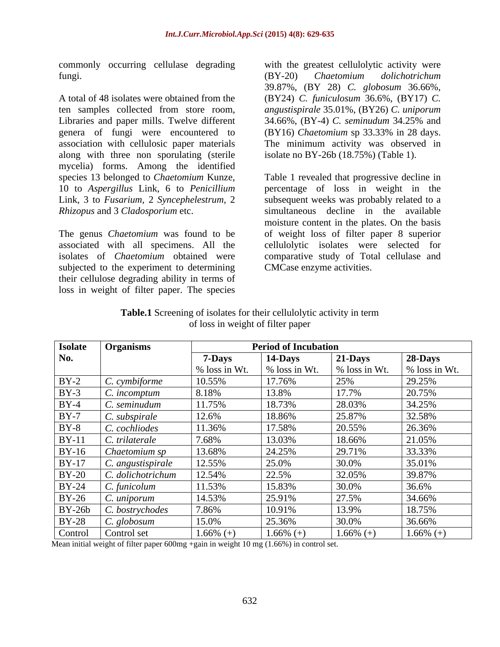commonly occurring cellulase degrading fungi. (BY-20) Chaetomium dolichotrichum

A total of 48 isolates were obtained from the (BY24) *C. funiculosum* 36.6%, (BY17) *C.*  ten samples collected from store room, *angustispirale* 35.01%, (BY26) *C. uniporum* Libraries and paper mills. Twelve different 34.66%, (BY-4) C. seminudum 34.25% and genera of fungi were encountered to (BY16) Chaetomium sp 33.33% in 28 days. association with cellulosic paper materials The minimum activity was observed in along with three non sporulating (sterile mycelia) forms. Among the identified species 13 belonged to *Chaetomium* Kunze, Table 1 revealed that progressive decline in 10 to *Aspergillus* Link, 6 to *Penicillium*  percentage of loss in weight in the Link, 3 to *Fusarium,* 2 *Syncephelestrum,* 2 subsequent weeks was probably related to a

The genus *Chaetomium* was found to be of weight loss of filter paper 8 superior associated with all specimens. All the cellulolytic isolates were selected for isolates of *Chaetomium* obtained were comparative study of Total cellulase and subjected to the experiment to determining their cellulose degrading ability in terms of loss in weight of filter paper. The species

with the greatest cellulolytic activity were (BY-20) *Chaetomium dolichotrichum* 39.87%, (BY 28) *C. globosum* 36.66%, 34.66%, (BY-4) *C. seminudum* 34.25% and (BY16) *Chaetomium* sp 33.33% in 28 days. isolate no BY-26b (18.75%) (Table 1).

*Rhizopus* and 3 *Cladosporium* etc. simultaneous decline in the available moisture content in the plates. On the basis CMCase enzyme activities.

| Table.<br>`ctivity in term<br>cellu'<br>ening of<br>; for their<br>⊺isolate<br>$S$ $C$ r $\rho$ <sub>r</sub><br>.olvtic_<br><b>NGLEF</b> |  |
|------------------------------------------------------------------------------------------------------------------------------------------|--|
| s in weight of filter paper<br>⌒▼                                                                                                        |  |

| <b>Isolate</b> | <b>Organisms</b>         |               | <b>Period of Incubation</b> |                                                  |                             |
|----------------|--------------------------|---------------|-----------------------------|--------------------------------------------------|-----------------------------|
| No.            |                          | 7-Days        | 14-Days                     | $21$ -Days                                       | $28$ -Days                  |
|                |                          | % loss in Wt. | $\%$ loss in Wt.            | % loss in Wt.                                    | $\frac{1}{2}$ % loss in Wt. |
| $BY-2$         | <u>c. cymbiforme</u>     | 10.55%        | 17.76%                      | 25%                                              | 29.25%                      |
| $BY-3$         | C. incomptum             | 8.18%         | 13.8%                       | 17.7%                                            | 20.75%                      |
| $BY-4$         | seminudum                | 11.75%        | 18.73%                      | 28.03%                                           | 34.25%                      |
| <b>BY-7</b>    | C. subspirale            | 12.6%         | 18.86%                      | 25.87%                                           | 32.58%                      |
| <b>BY-8</b>    | . cochliodes             | 11.36%        | 17.58%                      | 20.55%                                           | 26.36%                      |
| $BY-11$        | 7. trilaterale           | 7.68%         | 13.03%                      | 18.66%                                           | 21.05%                      |
| <b>BY-16</b>   | Chaetomium sp            | 13.68%        | 24.25%                      |                                                  | 33.33%                      |
| <b>BY-17</b>   | C. angustispirale        | 12.55%        | 25.0%                       | $\frac{29.71\%}{30.0\%}$                         | 35.01%                      |
| <b>BY-20</b>   | $\mid$ C. dolichotrichum | 12.54%        | 22.5%                       | $\frac{32.05\%}{30.0\%}$ $\frac{27.5\%}{13.9\%}$ | 39.87%                      |
|                | BY-24 C. funicolum       | 11.53%        | 15.83%                      |                                                  | 36.6%                       |
| BY-26          | $\mid$ C. uniporum       | 14.53%        | 25.91%                      |                                                  | 34.66%                      |
|                | BY-26b C. bostrychodes   | 7.86%         | 10.91%                      |                                                  | 18.75%                      |
| <b>BY-28</b>   | globosum                 | 15.0%         | 25.36%                      | 30.0%                                            | 36.66%                      |
| Control        | Control set              | 1.66% $(+)$   | 1.66% $(+)$                 | $1.66\%$ (+)                                     | $1.66\%$ (+)                |

Mean initial weight of filter paper 600mg +gain in weight 10 mg (1.66%) in control set.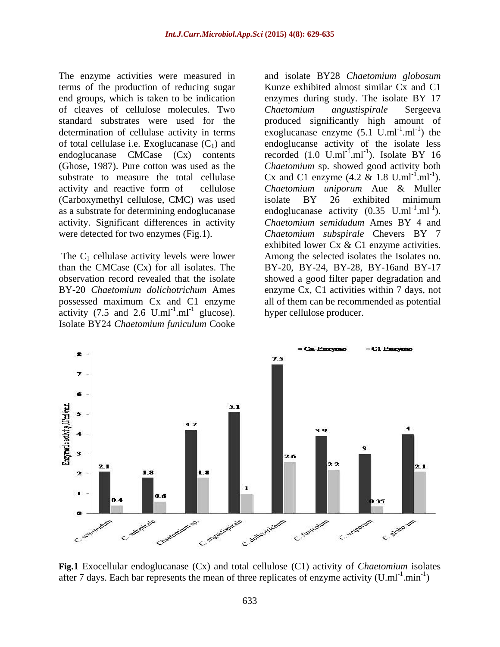The enzyme activities were measured in and isolate BY28 *Chaetomium globosum* terms of the production of reducing sugar end groups, which is taken to be indication enzymes during study. The isolate BY 17 of cleaves of cellulose molecules. Two Chaetomium angustispirale Sergeeva standard substrates were used for the produced significantly high amount of determination of cellulase activity in terms exoglucanase enzyme  $(5.1 \text{ U.m}^{-1} \text{.ml}^{-1})$  the of total cellulase i.e. Exoglucanase  $(C_1)$  and  $\qquad$  endoglucanse activity of the isolate less endoglucanase CMCase  $(Cx)$  contents recorded  $(1.0 U.mI<sup>-1</sup>.mI<sup>-1</sup>)$ . Isolate BY 16 (Ghose, 1987). Pure cotton was used as the *Chaetomium* sp. showed good activity both substrate to measure the total cellulase Cx and C1 enzyme  $(4.2 \& 1.8 \text{ U.m}^{-1} \text{.} \text{m}^{-1})$ . activity and reactive form of cellulose *Chaetomium uniporum* Aue & Muller (Carboxymethyl cellulose, CMC) was used as a substrate for determining endoglucanase endoglucanase activity  $(0.35 \text{ U.m}^{-1} \text{.} \text{m}^{-1})$ . activity. Significant differences in activity were detected for two enzymes (Fig.1). *Chaetomium subspirale* Chevers BY 7

The C<sub>1</sub> cellulase activity levels were lower than the CMCase (Cx) for all isolates. The BY-20, BY-24, BY-28, BY-16and BY-17 observation record revealed that the isolate showed a good filter paper degradation and BY-20 *Chaetomium dolichotrichum* Ames enzyme Cx, C1 activities within 7 days, not possessed maximum Cx and C1 enzyme all of them can be recommended as potential activity  $(7.5 \text{ and } 2.6 \text{ U.m}^{-1} \text{.ml}^{-1} \text{ glucose}).$ Isolate BY24 *Chaetomium funiculum* Cooke

 $\text{mI}^{-1}$  glucose). hyper cellulose producer. glucose). hyper cellulose producer. Kunze exhibited almost similar Cx and C1 *Chaetomium angustispirale* Sergeeva  $.ml^{-1})$  the ) the ). Isolate BY 16  $.ml^{-1}$ ). ). isolate BY 26 exhibited minimum  $.ml^{-1}$ ). ). *Chaetomium semidudum* Ames BY 4 and exhibited lower Cx & C1 enzyme activities. Among the selected isolates the Isolates no.



**Fig.1** Exocellular endoglucanase (Cx) and total cellulose (C1) activity of *Chaetomium* isolates after 7 days. Each bar represents the mean of three replicates of enzyme activity  $(U.ml^{-1}.min^{-1})$  $\min^{-1}$ )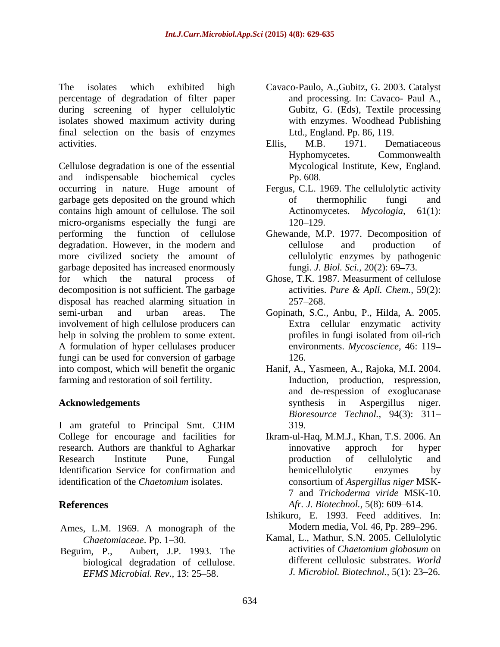The isolates which exhibited high Cavaco-Paulo, A.,Gubitz, G. 2003. Catalyst percentage of degradation of filter paper during screening of hyper cellulolytic isolates showed maximum activity during final selection on the basis of enzymes

Cellulose degradation is one of the essential and indispensable biochemical cycles occurring in nature. Huge amount of Fergus, C.L. 1969. The cellulolytic activity garbage gets deposited on the ground which of thermophilic fungi and contains high amount of cellulose. The soil Actinomycetes. *Mycologia*, 61(1): micro-organisms especially the fungi are  $120-129$ . performing the function of cellulose Ghewande, M.P. 1977. Decomposition of degradation. However, in the modern and cellulose and production of more civilized society the amount of garbage deposited has increased enormously for which the natural process of Ghose, T.K. 1987. Measurment of cellulose decomposition is not sufficient. The garbage activities. Pure & Apll. Chem., 59(2): disposal has reached alarming situation in semi-urban and urban areas. The Gopinath, S.C., Anbu, P., Hilda, A. 2005. involvement of high cellulose producers can help in solving the problem to some extent. profiles in fungi isolated from oil-rich A formulation of hyper cellulases producer fungi can be used for conversion of garbage into compost, which will benefit the organic Hanif, A., Yasmeen, A., Rajoka, M.I. 2004.

I am grateful to Principal Smt. CHM 319. College for encourage and facilities for Ikram-ul-Haq, M.M.J., Khan, T.S. 2006. An research. Authors are thankful to Agharkar Research Institute Pune, Fungal production of cellulolytic and Identification Service for confirmation and

- Ames, L.M. 1969. A monograph of the
- biological degradation of cellulose. *EFMS Microbial. Rev., 13: 25–58.*
- and processing. In: Cavaco- Paul A., Gubitz, G. (Eds), Textile processing with enzymes. Woodhead Publishing Ltd., England. Pp. 86, 119.
- activities. Ellis, M.B. 1971. Dematiaceous Ellis, M.B. 1971. Dematiaceous Hyphomycetes. Commonwealth Mycological Institute, Kew, England. Pp. 608.
	- of thermophilic fungi and Actinomycetes. *Mycologia*, 120–129.
	- cellulose and production of cellulolytic enzymes by pathogenic fungi. *J. Biol. Sci.*, 20(2): 69–73.
	- activities. *Pure & Apll. Chem.,* 59(2):  $257 - 268.$
	- Extra cellular enzymatic activity profiles in fungi isolated from oil-rich environments. *Mycoscience,* 46: 119 126.
- farming and restoration of soil fertility. Induction, production, respression, Acknowledgements **Acknowledgements** Synthesis in Aspergillus niger. and de-respession of exoglucanase synthesis in Aspergillus niger. *Bioresource Technol.,* 94(3): 311 319.
- identification of the *Chaetomium* isolates. consortium of *Aspergillus niger* MSK- **References** *Afr. J. Biotechnol.,* 5(8): 609–614. innovative approch for hyper production of cellulolytic and hemicellulolytic enzymes by 7 and *Trichoderma viride* MSK-10.
	- Ishikuro, E. 1993. Feed additives. In: Modern media, Vol. 46, Pp. 289–296.
- Chaetomiaceae. Pp. 1-30. **Kamal, L., Mathur, S.N. 2005. Cellulolytic** Beguim, P., Aubert, J.P. 1993. The activities of *Chaetomium globosum* on activities of *Chaetomium globosum* on different cellulosic substrates. *World J. Microbiol. Biotechnol.*, 5(1): 23–26.